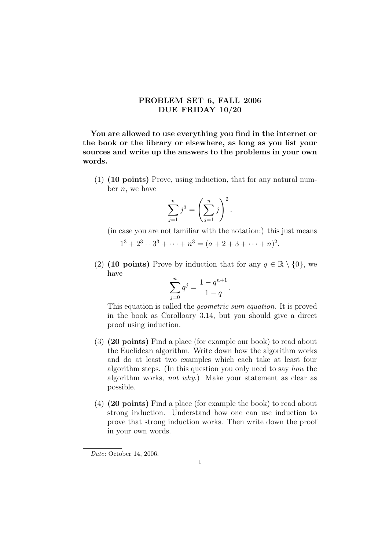## PROBLEM SET 6, FALL 2006 DUE FRIDAY 10/20

You are allowed to use everything you find in the internet or the book or the library or elsewhere, as long as you list your sources and write up the answers to the problems in your own words.

(1) (10 points) Prove, using induction, that for any natural number  $n$ , we have

$$
\sum_{j=1}^{n} j^3 = \left(\sum_{j=1}^{n} j\right)^2.
$$

(in case you are not familiar with the notation:) this just means  $1^3 + 2^3 + 3^3 + \cdots + n^3 = (a + 2 + 3 + \cdots + n)^2$ .

(2) (10 points) Prove by induction that for any  $q \in \mathbb{R} \setminus \{0\}$ , we have

$$
\sum_{j=0}^{n} q^{j} = \frac{1 - q^{n+1}}{1 - q}.
$$

This equation is called the geometric sum equation. It is proved in the book as Corolloary 3.14, but you should give a direct proof using induction.

- (3) (20 points) Find a place (for example our book) to read about the Euclidean algorithm. Write down how the algorithm works and do at least two examples which each take at least four algorithm steps. (In this question you only need to say how the algorithm works, not why.) Make your statement as clear as possible.
- (4) (20 points) Find a place (for example the book) to read about strong induction. Understand how one can use induction to prove that strong induction works. Then write down the proof in your own words.

Date: October 14, 2006.